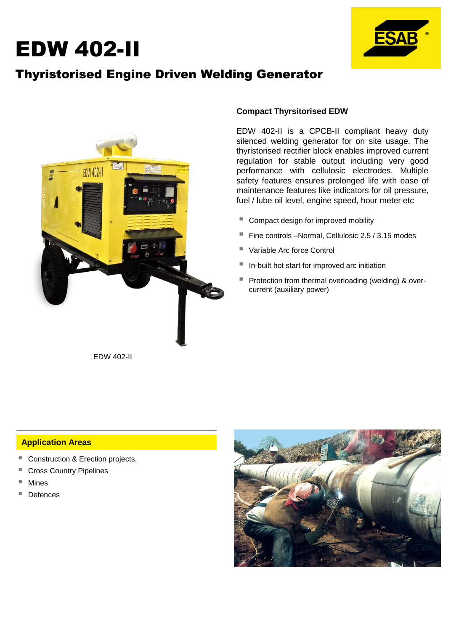# EDW 402-II



## Thyristorised Engine Driven Welding Generator



#### **Compact Thyrsitorised EDW**

EDW 402-II is a CPCB-II compliant heavy duty silenced welding generator for on site usage. The thyristorised rectifier block enables improved current regulation for stable output including very good performance with cellulosic electrodes. Multiple safety features ensures prolonged life with ease of maintenance features like indicators for oil pressure, fuel / lube oil level, engine speed, hour meter etc

- Compact design for improved mobility
- Fine controls –Normal, Cellulosic 2.5 / 3.15 modes
- Variable Arc force Control
- In-built hot start for improved arc initiation
- Protection from thermal overloading (welding) & overcurrent (auxiliary power)

#### **Application Areas**

- Construction & Erection projects.
- Cross Country Pipelines
- Mines
- Defences